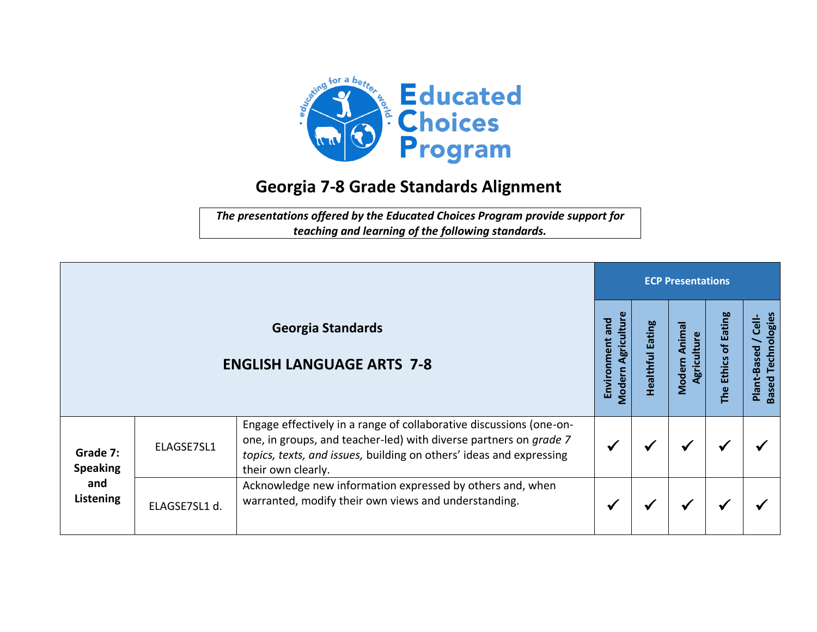

## **Georgia 7-8 Grade Standards Alignment**

*The presentations offered by the Educated Choices Program provide support for teaching and learning of the following standards.*

|                                                 |               |                                                                                                                                                                                                                                       |                                                 |                            | <b>ECP Presentations</b>       |                                                                  |                                                          |  |  |  |  |  |
|-------------------------------------------------|---------------|---------------------------------------------------------------------------------------------------------------------------------------------------------------------------------------------------------------------------------------|-------------------------------------------------|----------------------------|--------------------------------|------------------------------------------------------------------|----------------------------------------------------------|--|--|--|--|--|
|                                                 |               | <b>Georgia Standards</b><br><b>ENGLISH LANGUAGE ARTS 7-8</b>                                                                                                                                                                          | Agriculture<br>Environment and<br><b>Modern</b> | Eating<br><b>Healthful</b> | Anima<br>Agriculture<br>Modern | <b>Eating</b><br>$\overline{\mathbf{b}}$<br><b>Ethics</b><br>The | <b>Based Technologies</b><br><b>Cell-</b><br>Plant-Based |  |  |  |  |  |
| Grade 7:<br><b>Speaking</b><br>and<br>Listening | ELAGSE7SL1    | Engage effectively in a range of collaborative discussions (one-on-<br>one, in groups, and teacher-led) with diverse partners on grade 7<br>topics, texts, and issues, building on others' ideas and expressing<br>their own clearly. |                                                 | ₩                          | ✔                              |                                                                  |                                                          |  |  |  |  |  |
|                                                 | ELAGSE7SL1 d. | Acknowledge new information expressed by others and, when<br>warranted, modify their own views and understanding.                                                                                                                     |                                                 | ₩                          | $\checkmark$                   |                                                                  |                                                          |  |  |  |  |  |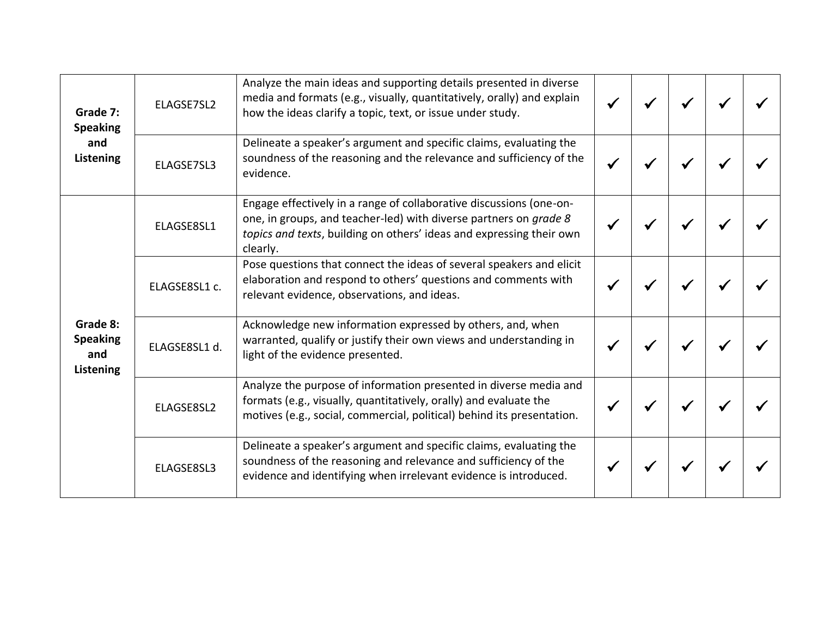| Grade 7:<br><b>Speaking</b><br>and<br>Listening | ELAGSE7SL2    | Analyze the main ideas and supporting details presented in diverse<br>media and formats (e.g., visually, quantitatively, orally) and explain<br>how the ideas clarify a topic, text, or issue under study.                   |  |  |  |
|-------------------------------------------------|---------------|------------------------------------------------------------------------------------------------------------------------------------------------------------------------------------------------------------------------------|--|--|--|
|                                                 | ELAGSE7SL3    | Delineate a speaker's argument and specific claims, evaluating the<br>soundness of the reasoning and the relevance and sufficiency of the<br>evidence.                                                                       |  |  |  |
| Grade 8:<br><b>Speaking</b><br>and<br>Listening | ELAGSE8SL1    | Engage effectively in a range of collaborative discussions (one-on-<br>one, in groups, and teacher-led) with diverse partners on grade 8<br>topics and texts, building on others' ideas and expressing their own<br>clearly. |  |  |  |
|                                                 | ELAGSE8SL1 c. | Pose questions that connect the ideas of several speakers and elicit<br>elaboration and respond to others' questions and comments with<br>relevant evidence, observations, and ideas.                                        |  |  |  |
|                                                 | ELAGSE8SL1 d. | Acknowledge new information expressed by others, and, when<br>warranted, qualify or justify their own views and understanding in<br>light of the evidence presented.                                                         |  |  |  |
|                                                 | ELAGSE8SL2    | Analyze the purpose of information presented in diverse media and<br>formats (e.g., visually, quantitatively, orally) and evaluate the<br>motives (e.g., social, commercial, political) behind its presentation.             |  |  |  |
|                                                 | ELAGSE8SL3    | Delineate a speaker's argument and specific claims, evaluating the<br>soundness of the reasoning and relevance and sufficiency of the<br>evidence and identifying when irrelevant evidence is introduced.                    |  |  |  |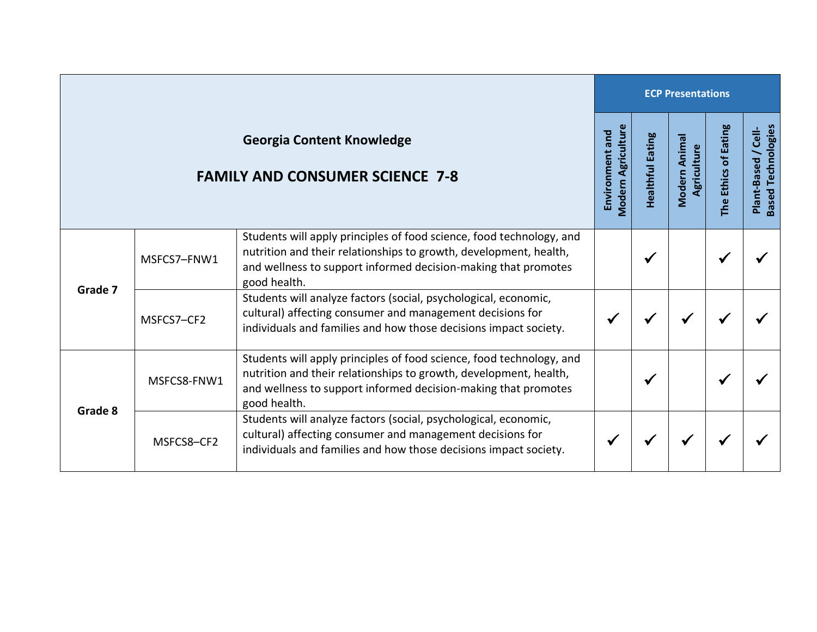|                                                                            |             |                                                                                                                                                                                                                             | <b>ECP Presentations</b>                     |                  |                             |                      |                                                  |  |  |
|----------------------------------------------------------------------------|-------------|-----------------------------------------------------------------------------------------------------------------------------------------------------------------------------------------------------------------------------|----------------------------------------------|------------------|-----------------------------|----------------------|--------------------------------------------------|--|--|
| <b>Georgia Content Knowledge</b><br><b>FAMILY AND CONSUMER SCIENCE 7-8</b> |             |                                                                                                                                                                                                                             | <b>Modern Agriculture</b><br>Environment and | Healthful Eating | Modern Anima<br>Agriculture | The Ethics of Eating | <b>Based Technologies</b><br>Plant-Based / Cell- |  |  |
| Grade 7                                                                    | MSFCS7-FNW1 | Students will apply principles of food science, food technology, and<br>nutrition and their relationships to growth, development, health,<br>and wellness to support informed decision-making that promotes<br>good health. |                                              |                  |                             |                      |                                                  |  |  |
|                                                                            | MSFCS7-CF2  | Students will analyze factors (social, psychological, economic,<br>cultural) affecting consumer and management decisions for<br>individuals and families and how those decisions impact society.                            |                                              |                  |                             |                      |                                                  |  |  |
| Grade 8                                                                    | MSFCS8-FNW1 | Students will apply principles of food science, food technology, and<br>nutrition and their relationships to growth, development, health,<br>and wellness to support informed decision-making that promotes<br>good health. |                                              | ✔                |                             |                      |                                                  |  |  |
|                                                                            | MSFCS8-CF2  | Students will analyze factors (social, psychological, economic,<br>cultural) affecting consumer and management decisions for<br>individuals and families and how those decisions impact society.                            |                                              |                  |                             |                      |                                                  |  |  |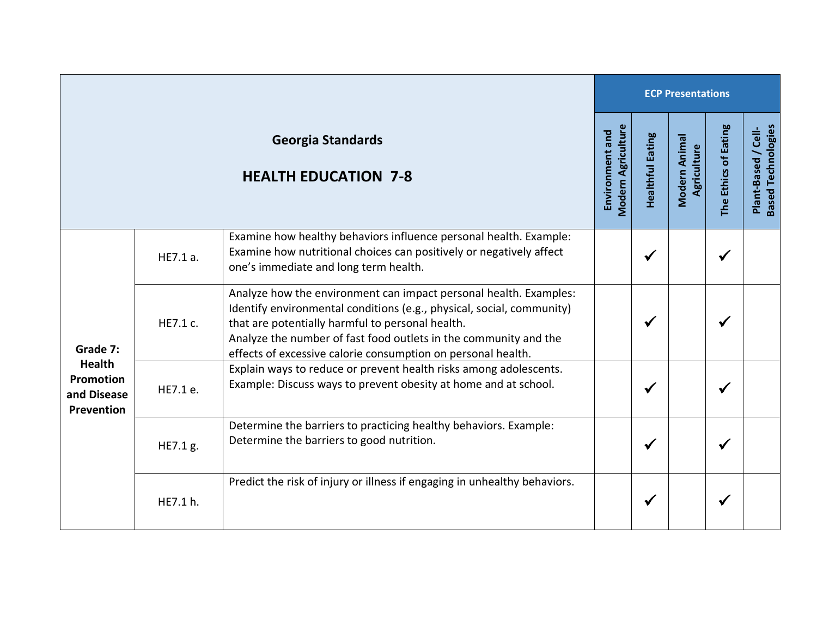|                                                                     |          |                                                                                                                                                                                                                                                                                                                                    |                                              |                         | <b>ECP Presentations</b>     |                      |                                                  |  |  |  |
|---------------------------------------------------------------------|----------|------------------------------------------------------------------------------------------------------------------------------------------------------------------------------------------------------------------------------------------------------------------------------------------------------------------------------------|----------------------------------------------|-------------------------|------------------------------|----------------------|--------------------------------------------------|--|--|--|
|                                                                     |          | <b>Georgia Standards</b><br><b>HEALTH EDUCATION 7-8</b>                                                                                                                                                                                                                                                                            | <b>Modern Agriculture</b><br>Environment and | <b>Healthful Eating</b> | Modern Animal<br>Agriculture | The Ethics of Eating | <b>Based Technologies</b><br>Plant-Based / Cell- |  |  |  |
| Grade 7:<br><b>Health</b><br>Promotion<br>and Disease<br>Prevention | HE7.1 a. | Examine how healthy behaviors influence personal health. Example:<br>Examine how nutritional choices can positively or negatively affect<br>one's immediate and long term health.                                                                                                                                                  |                                              | $\checkmark$            |                              | $\checkmark$         |                                                  |  |  |  |
|                                                                     | HE7.1 c. | Analyze how the environment can impact personal health. Examples:<br>Identify environmental conditions (e.g., physical, social, community)<br>that are potentially harmful to personal health.<br>Analyze the number of fast food outlets in the community and the<br>effects of excessive calorie consumption on personal health. |                                              | ✔                       |                              | $\checkmark$         |                                                  |  |  |  |
|                                                                     | HE7.1 e. | Explain ways to reduce or prevent health risks among adolescents.<br>Example: Discuss ways to prevent obesity at home and at school.                                                                                                                                                                                               |                                              | $\checkmark$            |                              | ✔                    |                                                  |  |  |  |
|                                                                     | HE7.1 g. | Determine the barriers to practicing healthy behaviors. Example:<br>Determine the barriers to good nutrition.                                                                                                                                                                                                                      |                                              | $\checkmark$            |                              | ✔                    |                                                  |  |  |  |
|                                                                     | HE7.1 h. | Predict the risk of injury or illness if engaging in unhealthy behaviors.                                                                                                                                                                                                                                                          |                                              | ✔                       |                              | √                    |                                                  |  |  |  |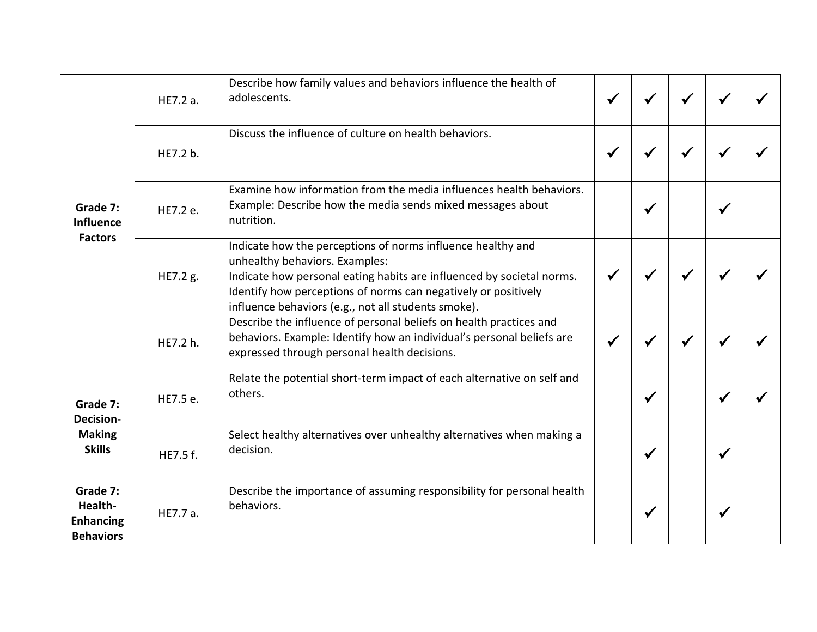| Grade 7:<br><b>Influence</b><br><b>Factors</b>                 | HE7.2 a. | Describe how family values and behaviors influence the health of<br>adolescents.                                                                                                                                                                                                                |  |   |  |
|----------------------------------------------------------------|----------|-------------------------------------------------------------------------------------------------------------------------------------------------------------------------------------------------------------------------------------------------------------------------------------------------|--|---|--|
|                                                                | HE7.2 b. | Discuss the influence of culture on health behaviors.                                                                                                                                                                                                                                           |  |   |  |
|                                                                | HE7.2 e. | Examine how information from the media influences health behaviors.<br>Example: Describe how the media sends mixed messages about<br>nutrition.                                                                                                                                                 |  | √ |  |
|                                                                | HE7.2 g. | Indicate how the perceptions of norms influence healthy and<br>unhealthy behaviors. Examples:<br>Indicate how personal eating habits are influenced by societal norms.<br>Identify how perceptions of norms can negatively or positively<br>influence behaviors (e.g., not all students smoke). |  |   |  |
|                                                                | HE7.2 h. | Describe the influence of personal beliefs on health practices and<br>behaviors. Example: Identify how an individual's personal beliefs are<br>expressed through personal health decisions.                                                                                                     |  |   |  |
| Grade 7:<br><b>Decision-</b><br><b>Making</b><br><b>Skills</b> | HE7.5 e. | Relate the potential short-term impact of each alternative on self and<br>others.                                                                                                                                                                                                               |  | √ |  |
|                                                                | HE7.5 f. | Select healthy alternatives over unhealthy alternatives when making a<br>decision.                                                                                                                                                                                                              |  |   |  |
| Grade 7:<br>Health-<br><b>Enhancing</b><br><b>Behaviors</b>    | HE7.7 a. | Describe the importance of assuming responsibility for personal health<br>behaviors.                                                                                                                                                                                                            |  | ✔ |  |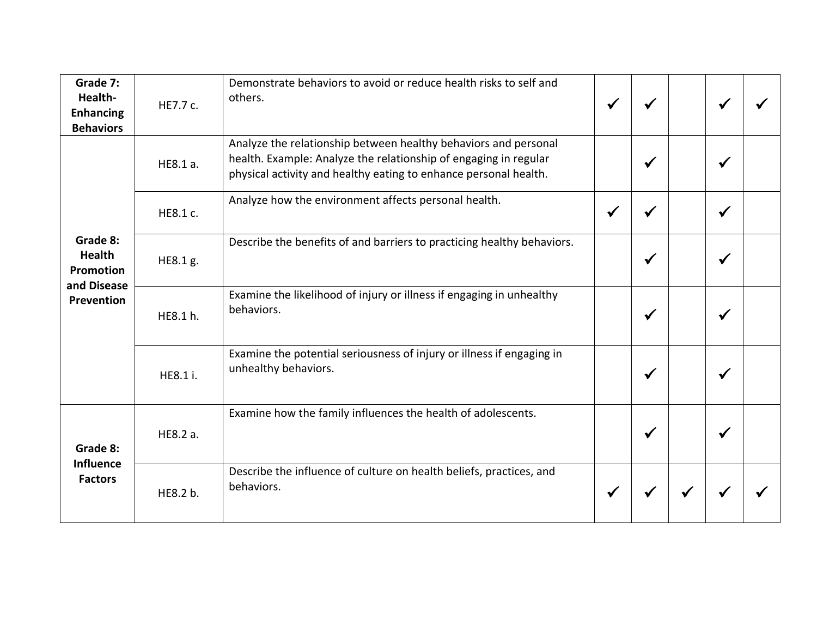| Grade 7:<br>Health-<br><b>Enhancing</b><br><b>Behaviors</b>                | HE7.7 c. | Demonstrate behaviors to avoid or reduce health risks to self and<br>others.                                                                                                                            |              | ₩            |  |
|----------------------------------------------------------------------------|----------|---------------------------------------------------------------------------------------------------------------------------------------------------------------------------------------------------------|--------------|--------------|--|
| Grade 8:<br><b>Health</b><br><b>Promotion</b><br>and Disease<br>Prevention | HE8.1 a. | Analyze the relationship between healthy behaviors and personal<br>health. Example: Analyze the relationship of engaging in regular<br>physical activity and healthy eating to enhance personal health. | $\checkmark$ | √            |  |
|                                                                            | HE8.1 c. | Analyze how the environment affects personal health.                                                                                                                                                    |              | ✔            |  |
|                                                                            | HE8.1 g. | Describe the benefits of and barriers to practicing healthy behaviors.                                                                                                                                  | $\checkmark$ | $\checkmark$ |  |
|                                                                            | HE8.1 h. | Examine the likelihood of injury or illness if engaging in unhealthy<br>behaviors.                                                                                                                      | $\checkmark$ | √            |  |
|                                                                            | HE8.1 i. | Examine the potential seriousness of injury or illness if engaging in<br>unhealthy behaviors.                                                                                                           | $\checkmark$ | ✔            |  |
| Grade 8:<br><b>Influence</b><br><b>Factors</b>                             | HE8.2 a. | Examine how the family influences the health of adolescents.                                                                                                                                            | $\checkmark$ | √            |  |
|                                                                            | HE8.2 b. | Describe the influence of culture on health beliefs, practices, and<br>behaviors.                                                                                                                       |              |              |  |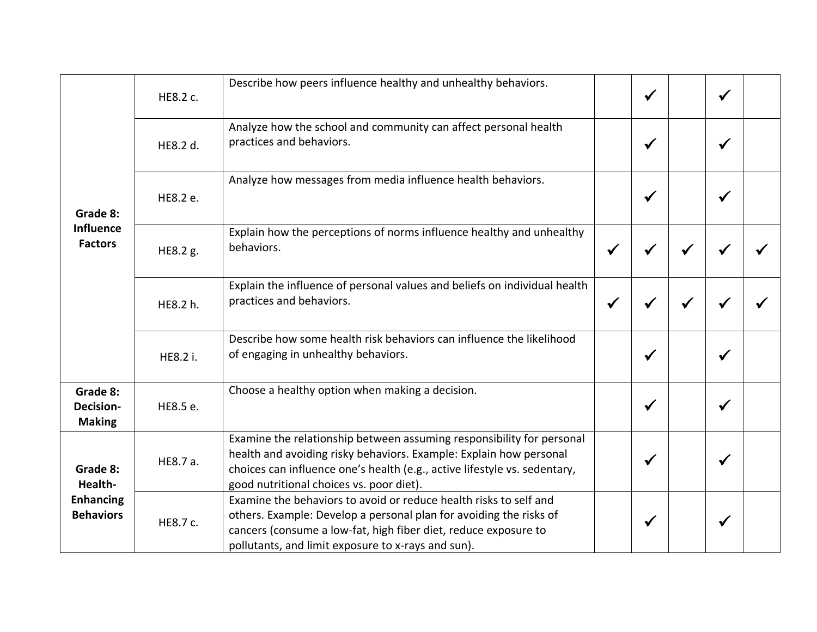| Grade 8:<br><b>Influence</b><br><b>Factors</b>              | HE8.2 c. | Describe how peers influence healthy and unhealthy behaviors.                                                                                                                                                                                                        |              |              |              | √            |  |
|-------------------------------------------------------------|----------|----------------------------------------------------------------------------------------------------------------------------------------------------------------------------------------------------------------------------------------------------------------------|--------------|--------------|--------------|--------------|--|
|                                                             | HE8.2 d. | Analyze how the school and community can affect personal health<br>practices and behaviors.                                                                                                                                                                          |              | $\checkmark$ |              | ✔            |  |
|                                                             | HE8.2 e. | Analyze how messages from media influence health behaviors.                                                                                                                                                                                                          |              | ✔            |              | √            |  |
|                                                             | HE8.2 g. | Explain how the perceptions of norms influence healthy and unhealthy<br>behaviors.                                                                                                                                                                                   |              |              |              |              |  |
|                                                             | HE8.2 h. | Explain the influence of personal values and beliefs on individual health<br>practices and behaviors.                                                                                                                                                                | $\checkmark$ |              | $\checkmark$ |              |  |
|                                                             | HE8.2 i. | Describe how some health risk behaviors can influence the likelihood<br>of engaging in unhealthy behaviors.                                                                                                                                                          |              | $\checkmark$ |              | $\checkmark$ |  |
| Grade 8:<br><b>Decision-</b><br><b>Making</b>               | HE8.5 e. | Choose a healthy option when making a decision.                                                                                                                                                                                                                      |              | $\checkmark$ |              | $\checkmark$ |  |
| Grade 8:<br>Health-<br><b>Enhancing</b><br><b>Behaviors</b> | HE8.7 a. | Examine the relationship between assuming responsibility for personal<br>health and avoiding risky behaviors. Example: Explain how personal<br>choices can influence one's health (e.g., active lifestyle vs. sedentary,<br>good nutritional choices vs. poor diet). |              | ✔            |              | ✔            |  |
|                                                             | HE8.7 c. | Examine the behaviors to avoid or reduce health risks to self and<br>others. Example: Develop a personal plan for avoiding the risks of<br>cancers (consume a low-fat, high fiber diet, reduce exposure to<br>pollutants, and limit exposure to x-rays and sun).     |              |              |              | ✔            |  |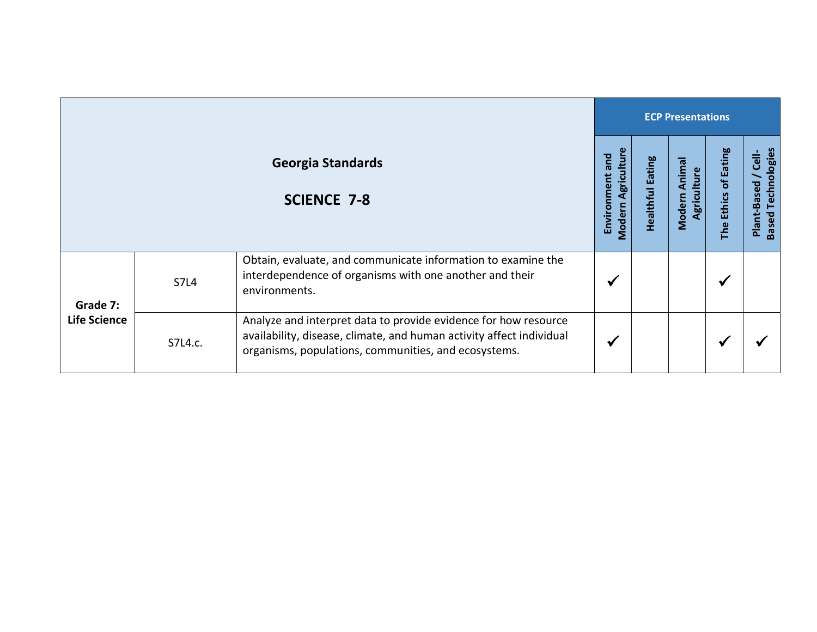|                                 |             |                                                                                                                                                                                                 |                                                |                            | <b>ECP Presentations</b>               |                      |                                                             |  |  |  |  |
|---------------------------------|-------------|-------------------------------------------------------------------------------------------------------------------------------------------------------------------------------------------------|------------------------------------------------|----------------------------|----------------------------------------|----------------------|-------------------------------------------------------------|--|--|--|--|
|                                 |             | <b>Georgia Standards</b><br><b>SCIENCE 7-8</b>                                                                                                                                                  | Agricultur<br>Environment and<br><b>Modern</b> | Eating<br><b>Healthful</b> | Animal<br>Agriculture<br><b>Modern</b> | The Ethics of Eating | Technologies<br><b>Cell-</b><br>Plant-Based<br><b>Based</b> |  |  |  |  |
| Grade 7:<br><b>Life Science</b> | <b>S7L4</b> | Obtain, evaluate, and communicate information to examine the<br>interdependence of organisms with one another and their<br>environments.                                                        |                                                |                            |                                        | M                    |                                                             |  |  |  |  |
|                                 | S7L4.c.     | Analyze and interpret data to provide evidence for how resource<br>availability, disease, climate, and human activity affect individual<br>organisms, populations, communities, and ecosystems. |                                                |                            |                                        |                      |                                                             |  |  |  |  |